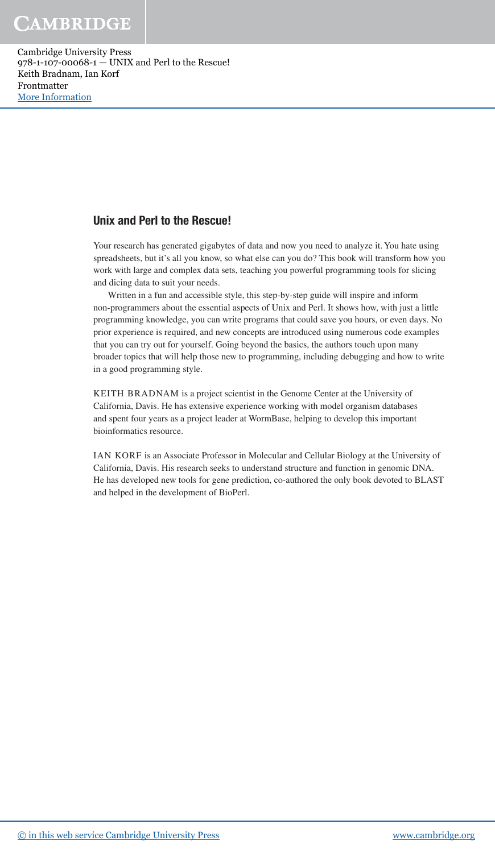Cambridge University Press 978-1-107-00068-1 — UNIX and Perl to the Rescue! Keith Bradnam, Ian Korf Frontmatter [More Information](www.cambridge.org/9781107000681)

#### Unix and Perl to the Rescue!

 Your research has generated gigabytes of data and now you need to analyze it. You hate using spreadsheets, but it's all you know, so what else can you do? This book will transform how you work with large and complex data sets, teaching you powerful programming tools for slicing and dicing data to suit your needs.

 Written in a fun and accessible style, this step-by-step guide will inspire and inform non-programmers about the essential aspects of Unix and Perl. It shows how, with just a little programming knowledge, you can write programs that could save you hours, or even days. No prior experience is required, and new concepts are introduced using numerous code examples that you can try out for yourself. Going beyond the basics, the authors touch upon many broader topics that will help those new to programming, including debugging and how to write in a good programming style.

 KEITH BRADNAM is a project scientist in the Genome Center at the University of California, Davis. He has extensive experience working with model organism databases and spent four years as a project leader at WormBase, helping to develop this important bioinformatics resource.

 IAN KORF is an Associate Professor in Molecular and Cellular Biology at the University of California, Davis. His research seeks to understand structure and function in genomic DNA. He has developed new tools for gene prediction, co-authored the only book devoted to BLAST and helped in the development of BioPerl.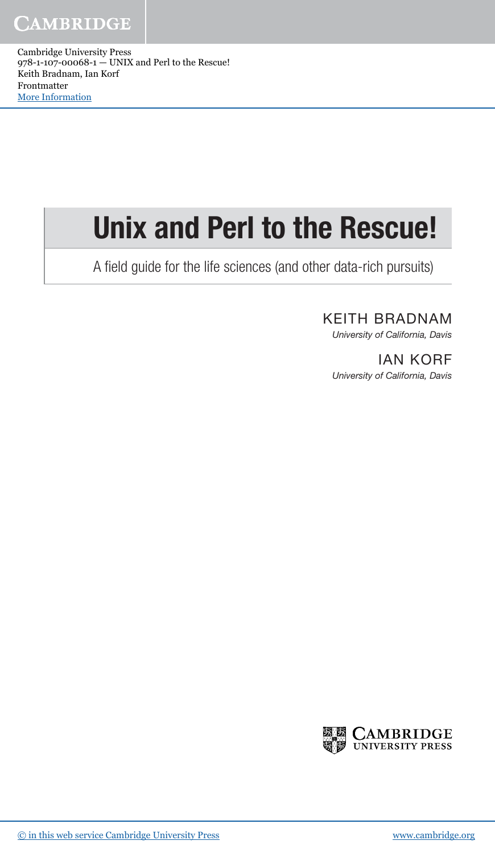Cambridge University Press 978-1-107-00068-1 — UNIX and Perl to the Rescue! Keith Bradnam, Ian Korf Frontmatter [More Information](www.cambridge.org/9781107000681)

# Unix and Perl to the Rescue!

A field guide for the life sciences (and other data-rich pursuits)

### KEITH BRADNAM

University of California, Davis

IAN KORF University of California, Davis

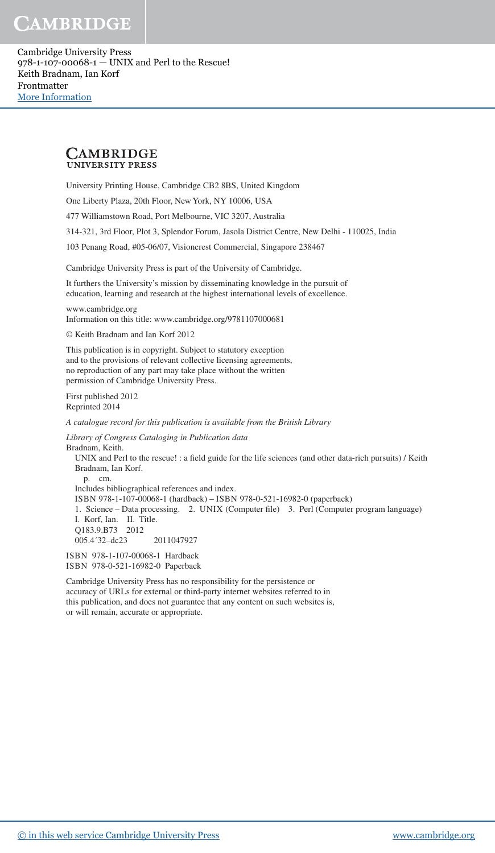Cambridge University Press 978-1-107-00068-1 — UNIX and Perl to the Rescue! Keith Bradnam, Ian Korf Frontmatter [More Information](www.cambridge.org/9781107000681)

#### **CAMBRIDGE UNIVERSITY PRESS**

University Printing House, Cambridge CB2 8BS, United Kingdom

One Liberty Plaza, 20th Floor, New York, NY 10006, USA

477 Williamstown Road, Port Melbourne, VIC 3207, Australia

314-321, 3rd Floor, Plot 3, Splendor Forum, Jasola District Centre, New Delhi - 110025, India

103 Penang Road, #05-06/07, Visioncrest Commercial, Singapore 238467

Cambridge University Press is part of the University of Cambridge.

It furthers the University's mission by disseminating knowledge in the pursuit of education, learning and research at the highest international levels of excellence.

www.cambridge.org Information on this title: www.cambridge.org/9781107000681

© Keith Bradnam and Ian Korf 2012

This publication is in copyright. Subject to statutory exception and to the provisions of relevant collective licensing agreements, no reproduction of any part may take place without the written permission of Cambridge University Press.

First published 2012 Reprinted 2014

*A catalogue record for this publication is available from the British Library*

*Library of Congress Cataloging in Publication data*

Bradnam, Keith. UNIX and Perl to the rescue! : a field guide for the life sciences (and other data-rich pursuits) / Keith Bradnam, Ian Korf. p. cm. Includes bibliographical references and index. ISBN 978-1-107-00068-1 (hardback) – ISBN 978-0-521-16982-0 (paperback) 1. Science – Data processing. 2. UNIX (Computer file) 3. Perl (Computer program language) I. Korf, Ian. II. Title. Q183.9.B73 2012 005.4´32–dc23 2011047927

ISBN 978-1-107-00068-1 Hardback ISBN 978-0-521-16982-0 Paperback

Cambridge University Press has no responsibility for the persistence or accuracy of URLs for external or third-party internet websites referred to in this publication, and does not guarantee that any content on such websites is, or will remain, accurate or appropriate.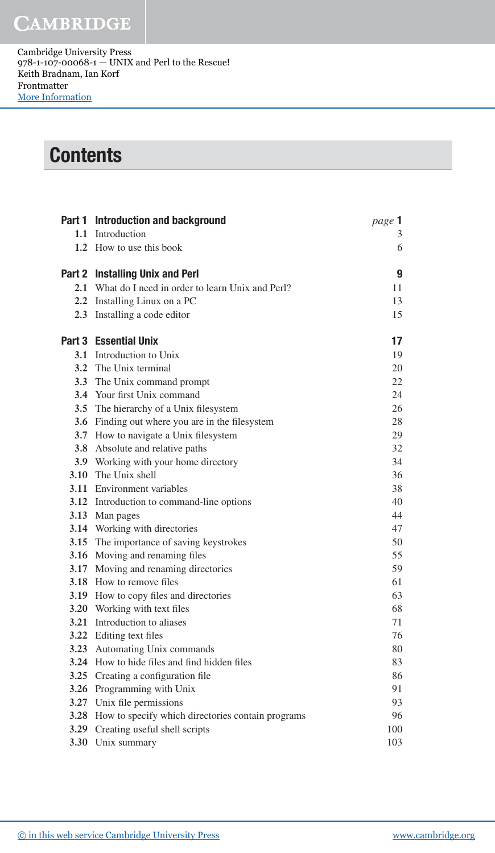Cambridge University Press 978-1-107-00068-1 — UNIX and Perl to the Rescue! Keith Bradnam, Ian Korf Frontmatter [More Information](www.cambridge.org/9781107000681)

## **Contents**

| Part 1 Introduction and background                     | page 1 |
|--------------------------------------------------------|--------|
| 1.1 Introduction                                       | 3      |
| 1.2 How to use this book                               | 6      |
| Part 2 Installing Unix and Perl                        | 9      |
| 2.1 What do I need in order to learn Unix and Perl?    | 11     |
| 2.2 Installing Linux on a PC                           | 13     |
| 2.3 Installing a code editor                           | 15     |
| <b>Part 3</b> Essential Unix                           | 17     |
| 3.1 Introduction to Unix                               | 19     |
| 3.2 The Unix terminal                                  | 20     |
| 3.3 The Unix command prompt                            | 22     |
| 3.4 Your first Unix command                            | 24     |
| 3.5 The hierarchy of a Unix filesystem                 | 26     |
| 3.6 Finding out where you are in the filesystem        | 28     |
| 3.7 How to navigate a Unix filesystem                  | 29     |
| 3.8 Absolute and relative paths                        | 32     |
| 3.9 Working with your home directory                   | 34     |
| 3.10 The Unix shell                                    | 36     |
| <b>3.11</b> Environment variables                      | 38     |
| 3.12 Introduction to command-line options              | 40     |
| 3.13 Man pages                                         | 44     |
| 3.14 Working with directories                          | 47     |
| 3.15 The importance of saving keystrokes               | 50     |
| 3.16 Moving and renaming files                         | 55     |
| 3.17 Moving and renaming directories                   | 59     |
| <b>3.18</b> How to remove files                        | 61     |
| 3.19 How to copy files and directories                 | 63     |
| 3.20 Working with text files                           | 68     |
| 3.21 Introduction to aliases                           | 71     |
| 3.22 Editing text files                                | 76     |
| 3.23 Automating Unix commands                          | 80     |
| 3.24 How to hide files and find hidden files           | 83     |
| 3.25 Creating a configuration file                     | 86     |
| 3.26 Programming with Unix                             | 91     |
| 3.27 Unix file permissions                             | 93     |
| 3.28 How to specify which directories contain programs | 96     |
| 3.29 Creating useful shell scripts                     | 100    |
| 3.30 Unix summary                                      | 103    |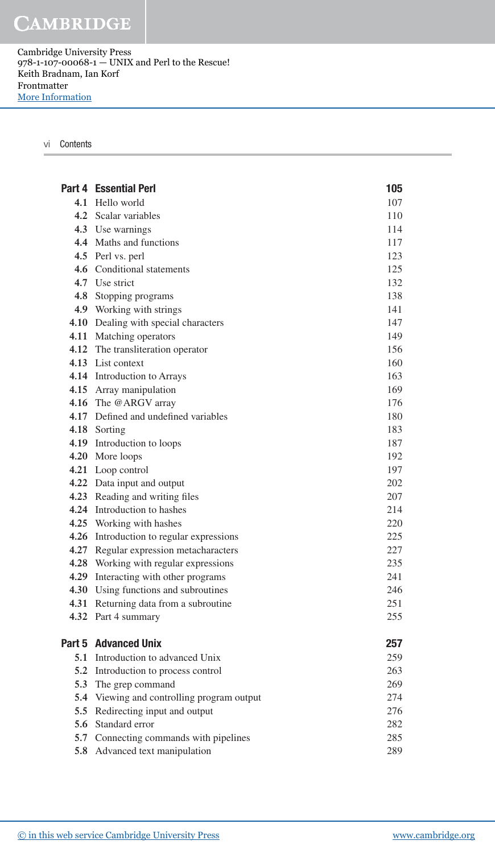Cambridge University Press 978-1-107-00068-1 — UNIX and Perl to the Rescue! Keith Bradnam, Ian Korf Frontmatter [More Information](www.cambridge.org/9781107000681)

#### vi Contents

|     | <b>Part 4 Essential Perl</b>               | 105 |
|-----|--------------------------------------------|-----|
|     | 4.1 Hello world                            | 107 |
|     | 4.2 Scalar variables                       | 110 |
|     | 4.3 Use warnings                           | 114 |
|     | 4.4 Maths and functions                    | 117 |
|     | 4.5 Perl vs. perl                          | 123 |
|     | 4.6 Conditional statements                 | 125 |
|     | 4.7 Use strict                             | 132 |
|     | 4.8 Stopping programs                      | 138 |
|     | 4.9 Working with strings                   | 141 |
|     | 4.10 Dealing with special characters       | 147 |
|     | 4.11 Matching operators                    | 149 |
|     | 4.12 The transliteration operator          | 156 |
|     | 4.13 List context                          | 160 |
|     | 4.14 Introduction to Arrays                | 163 |
|     | 4.15 Array manipulation                    | 169 |
|     | 4.16 The @ARGV array                       | 176 |
|     | 4.17 Defined and undefined variables       | 180 |
|     | 4.18 Sorting                               | 183 |
|     | 4.19 Introduction to loops                 | 187 |
|     | 4.20 More loops                            | 192 |
|     | 4.21 Loop control                          | 197 |
|     | 4.22 Data input and output                 | 202 |
|     | 4.23 Reading and writing files             | 207 |
|     | 4.24 Introduction to hashes                | 214 |
|     | 4.25 Working with hashes                   | 220 |
|     | 4.26 Introduction to regular expressions   | 225 |
|     | 4.27 Regular expression metacharacters     | 227 |
|     | 4.28 Working with regular expressions      | 235 |
|     | 4.29 Interacting with other programs       | 241 |
|     | 4.30 Using functions and subroutines       | 246 |
|     | 4.31 Returning data from a subroutine      | 251 |
|     | 4.32 Part 4 summary                        | 255 |
|     | Part 5 Advanced Unix                       | 257 |
| 5.1 | Introduction to advanced Unix              | 259 |
|     | 5.2 Introduction to process control        | 263 |
|     | 5.3 The grep command                       | 269 |
|     | 5.4 Viewing and controlling program output | 274 |
|     | 5.5 Redirecting input and output           | 276 |
| 5.6 | Standard error                             | 282 |
|     | 5.7 Connecting commands with pipelines     | 285 |
|     | 5.8 Advanced text manipulation             | 289 |